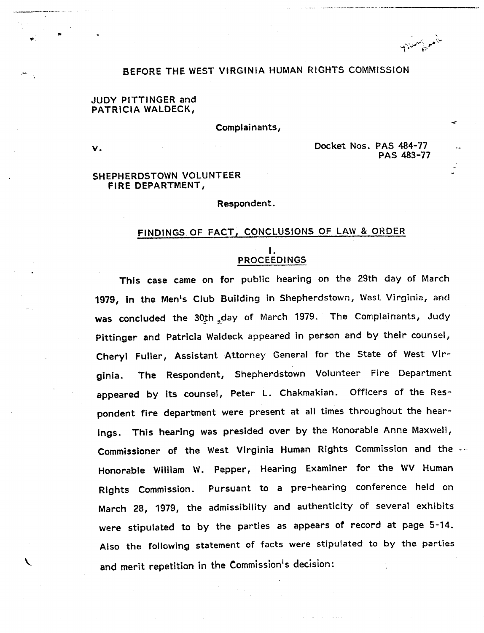سأمسني متنادم

### BEFORE THE WEST VIRGINIA HUMAN RIGHTS COMMISSION

### JUDY PITTINGER and PATRICIA WALDECK,

Complainants,

ν.

Docket Nos. PAS 484-77 PAS 483-77

#### SHEPHERDSTOWN VOLUNTEER FIRE DEPARTMENT,

Respondent.

# FINDINGS OF FACT, CONCLUSIONS OF LAW & ORDER

# I. PROCEEDINGS

This case came on for public hearing on the 29th day of March 1979, in the Men's Club Building in Shepherdstown, West Virginia, and was concluded the 30th day of March 1979. The Complainants, Judy Pittinger and Patricia Waldeck appeared in person and by their counsel, Cheryl Fuller, Assistant Attorney General for the State of West Virginia. The Respondent, Shepherdstown Volunteer Fire Department appeared by its counsel, Peter L. Chakmakian. Officers of the Respondent fire department were present at all times throughout the hearings. This hearing was presided over by the Honorable Anne Maxwell, Commissioner of the West Virginia Human Rights Commission and the Honorable William W. Pepper, Hearing Examiner for the WV Human Rights Commission. Pursuant to a pre-hearing conference held on March 28, 1979, the admissibility and authenticity of several exhibits were stipulated to by the parties as appears of record at page 5-14. Also the following statement of facts were stipulated to by the parties and merit repetition in the Commission's decision: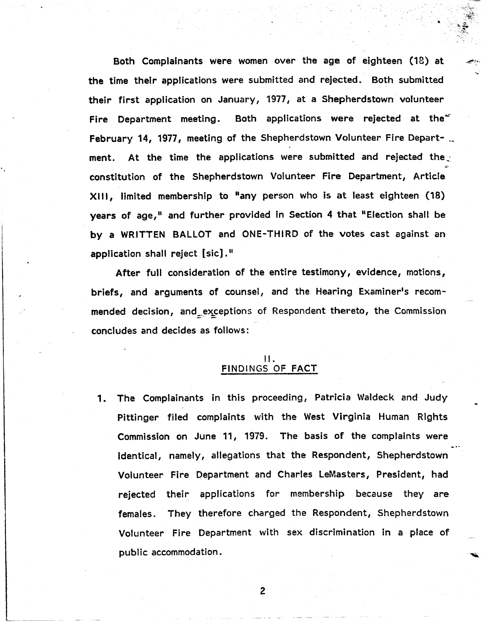Both Complainants were women over the age of eighteen (18) at the time their applications were submitted and rejected. Both submitted their first application on January, 1977, at a Shepherdstown volunteer Fire Department meeting. Both applications were rejected at the $\pm$ February 14, 1977, meeting of the Shepherdstown Volunteer Fire Depart- \_. ment. At the time the applications were submitted and rejected the constitution of the Shepherdstown Volunteer Fire Department, Article XIII, limited membership to "any person who is at least eighteen (18) years of age," and further provided in Section 4 that "Election shall be by a WRITTEN BALLOT and ONE-THIRD of the votes cast against an application shall reject  $[sic]$ ."

After full consideration of the entire testimony, evidence, motions, briefs, and arguments of counsel, and the Hearing Examiner's recommended decision, and exceptions of Respondent thereto, the Commission conciudes and decides as follows:

#### II. FINDINGS OF FACT

1. The Complainants in this proceeding, Patricia Waldeck and JUdy Pittinger filed complaints with the West Virginia Human Rights Commission on June 11, 1979. The basis of the complaints were identical, namely, allegations that the Respondent, Shepherdstown Volunteer Fire Department and Charles LeMasters, President, had rejected their applications for membership because they are females. They therefore charged the Respondent, Shepherdstown Volunteer Fire Department with sex discrimination in a place of public accommodation.

 $\overline{2}$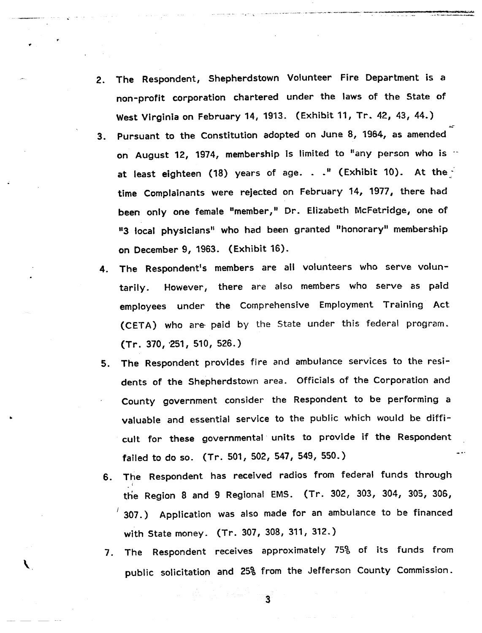- 2. The Respondent, Shepherdstown Volunteer Fire Department is a non-profit corporation chartered under the laws of the State of West Virginia on February 14, 1913. (Exhibit 11, Tr. 42, 43, 44.)
- 3. Pursuant to the Constitution adopted on June 8, 1964, as amended on August 12, 1974, membership is limited to "any person who is  $\cdot$ at least eighteen (18) years of age.  $\ldots$ " (Exhibit 10). At the time Complainants were rejected on February 14, 1977, there had been only one female "member," Dr. Elizabeth McFetridge, one of "3 local physicians" who had been granted "honorary" membership on December 9, 1963. (Exhibit 16).
- 4. The Respondent's members are all volunteers who serve voluntarily. However, there are also members who serve as paid employees under the Comprehensive Employment Training Act (CETA) who are paid by the State under this federal program.  $(Tr. 370, 251, 510, 526.)$
- The Respondent provides fire and ambulance services to the resi-5. dents of the Shepherdstown area. Officials of the Corporation and County government consider the Respondent to be performing a valuable and essential service to the public which would be difficult for these governmental units to provide if the Respondent failed to do so. (Tr. 501, 502, 547, 549, 550.)
- The Respondent has received radios from federal funds through 6. the Region 8 and 9 Regional EMS. (Tr. 302, 303, 304, 305, 306, 307.) Application was also made for an ambulance to be financed with State money. (Tr. 307, 308, 311, 312.)
- The Respondent receives approximately 75% of its funds from public solicitation and 25% from the Jefferson County Commission.

 $\overline{\mathbf{3}}$ 

╰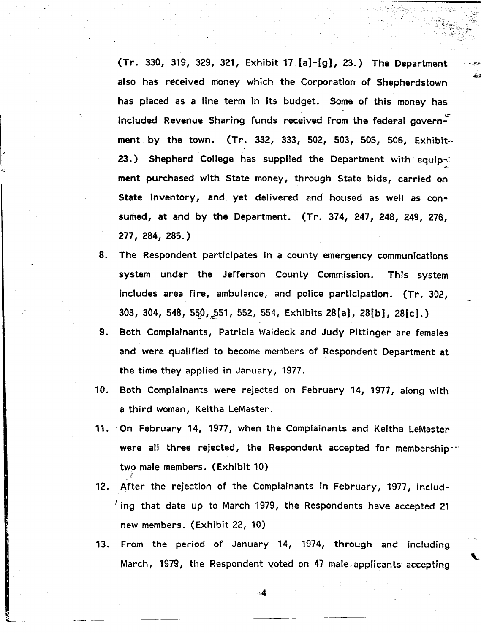(Tr. 330, 319, 329, 321, Exhibit 17 [a]-[g], 23.) The Department also has received money which the Corporation of Shepherdstown has placed as a line term in its budget. Some of this money has  $I$ included Revenue Sharing funds received from the federal govern $-I$ ment by the town. (Tr. 332, 333, 502, 503, 50S, 506, Exhibit-- 23.) Shepherd College has supplied the Department with equip $\leq$ .. ment purchased with State money, through State bids, carried on State inventory, and yet delivered and housed as well as consumed, at and by the Department. (Tr. 374, 247, 248, 249, 276, 277, 284, 285.)

- 8. The Respondent participates in a county emergency communications system under the Jefferson County Commission. This system includes area fire, ambulance, and police participation. {Tr. 302,  $303, 304, 548, 550, 551, 552, 554,$  Exhibits  $28[a], 28[b], 28[c],)$
- 9. Both Complainants, Patricia Waldeck and Judy Pittinger are females and were qualified to become members of Respondent Department at the time they applied in January, 1977.
- 10. Both Complainants were rejected on February 14, 1977, along with a third woman, Keitha LeMaster.
- 11. -On February 14, 1977, when the Complainants and Keitha LeMaster were all three rejected, the Respondent accepted for membership-·· two male members. (Exhibit 10)
- 12. After the rejection of the Complainants in February, 1977, includ- $\ell$  ing that date up to March 1979, the Respondents have accepted 21 new members. (Exhibit 22, 10)
- 13. From the period of January 14, 1974, through and including March, 1979, the Respondent voted on 47 male applicants accepting

 $\mathbf{A}$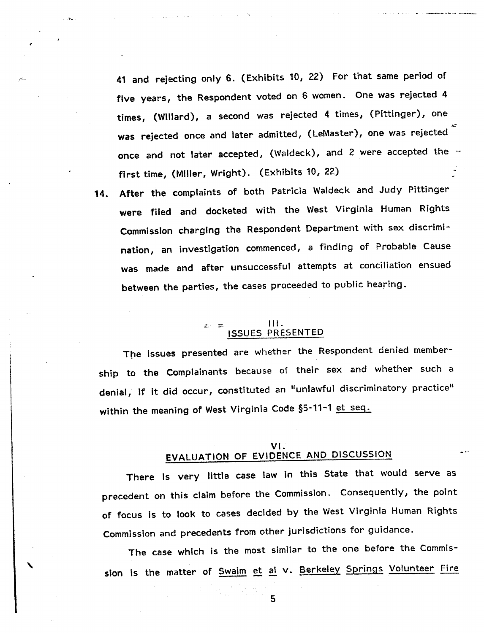41 and rejecting only 6. (Exhibits 10, 22) For that same period of five years, the Respondent voted on 6 women. One was rejected 4 times, (Willard), a second was rejected 4 times, (Pittinger), one was rejected once and later admitted, (LeMaster), one was rejected once and not later accepted, (Waldeck), and 2 were accepted the -first time, (Miller, Wright). (Exhibits 10, 22)

14. After the complaints of both Patricia Waldeck and Judy Pittinger were filed and docketed with the West Virginia Human Rights Commission charging the Respondent Department with sex discrimination, an investigation commenced, a finding of Probable Cause was made and after unsuccessful attempts at conciliation ensued between the parties, the cases proceeded to public hearing.

# \_ \_ Ill. ISSUES PRESENTED

The issues presented are whether the Respondent denied membership to the Complainants because of their sex and whether such a denial, if it did occur, constituted an "unlawful discriminatory practice" within the meaning of West Virginia Code §5-11-1 et seg.

## VI. EVALUATION OF EVIDENCE AND DISCUSSION

There is very little case law in this State that would serve as precedent on this claim before the Commission. Consequently, the point of focus is to look to cases decided by the West Virginia Human Rights Commission and precedents from other jurisdictions for guidance.

The case which is the most similar to the one before the Commission is the matter of Swaim et al v. Berkeley Springs Volunteer Fire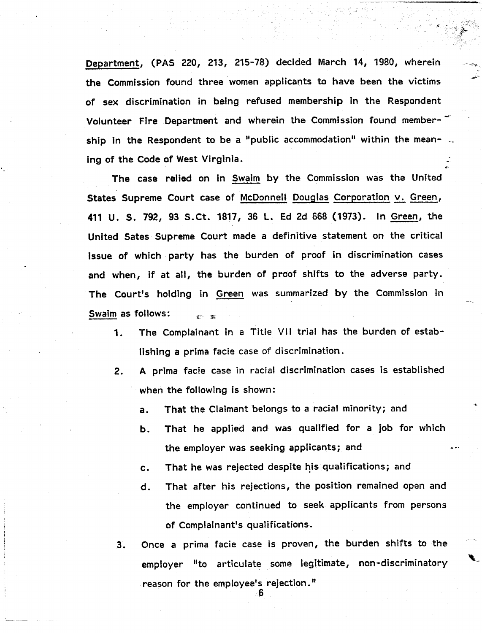Department, (PAS 220, 213, 215-78) decided March 14, 1980, wherein the Commission found three women applicants to have been the victims of sex discrimination in being refused membership in the Respondent Volunteer Fire Department and wherein the Commission found membership in the Respondent to be a "public accommodation" within the mean- .. ing of the Code of West Virginia.

The case relied on in Swaim by the Commission was the United States Supreme Court case of McDonnell Douglas Corporation v. Green, 411 U. S. 792, 93 S.Ct. 1817, 36 L. Ed 2d 668 (1973). In Green, the United Sates Supreme Court made a definitive statement on the critical issue of which· party has the burden of proof in discrimination cases and when, if at all, the burden of proof shifts to the adverse party. .The Court's holding in Green was summarized by the Commission in Swaim as follows:

- 1. The Complainant in a Title VII trial has the burden of establishing a prima facie case of discrimination.
- 2. A prima facie case in racial discrimination cases is established when the following is shown:
	- a. That the Claimant belongs to a racial minority; and
	- b. That he applied and was qualified for a job for which the employer was seeking applicants; and
	- c. That he was rejected despite his qualifications; and
	- d. That after his rejections, the position remained open and the employer continued to seek applicants from persons of Complainant's qualifications.
- 3. Once a prima facie case is proven, the burden shifts to the employer "to articulate some legitimate, non-discriminatory reason for the employee's rejection.<sup>11</sup> 6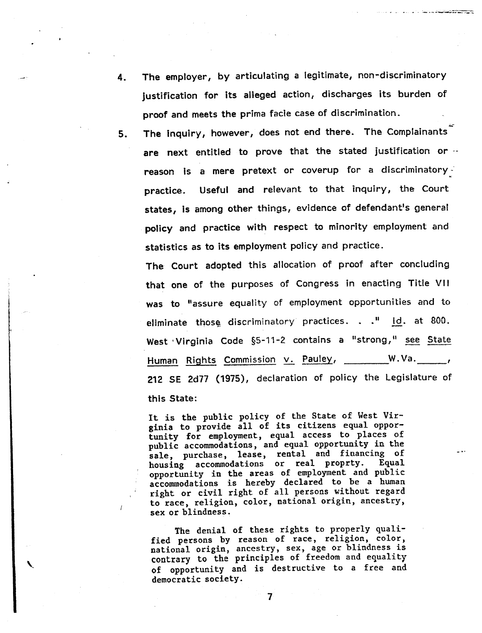4. The employer, by articulating a legitimate, non-discriminatory justification for its alleged action, discharges its burden of proof and meets the prima facie case of discrimination.

a a contra competitivamente della

5. The inquiry, however, does not end there. The Complainants are next entitled to prove that the stated justification or -reason is a mere pretext or coverup for a discriminatory- $\frac{1}{2}$ practice. Useful and relevant to that inquiry, the Court states, is among other things, evidence of defendant's general policy and practice with respect to minority employment and statistics as to its employment policy and practice.

The Court adopted this allocation of proof after concluding that one of the purposes of Congress in enacting Title VII was to "assure equality of employment opportunities and to eliminate those discriminatory practices..." id. at 800. West Virginia Code §5-11-2 contains a "strong," see State Human Rights Commission v. Pauley, \_\_\_\_\_\_\_W.Va. \_\_\_\_\_, 212 SE 2d77 (1975), declaration of policy the Legislature of this State:

It is the public policy of the State of West Virginia to provide all of its citizens equal opportunity for employment, equal access to places of public accommodations, and equal opportunity in the sale, purchase, lease, rental and financing of housing accommodations or real proprty. Equal opportunity in the areas of employment and public accommodations is hereby declared to be a human right or civil right of all persons without regard to race, religion, color, national origin, ancestry, sex or blindness.

The denial of these rights to properly qualified persons by reason of race, religion, color, national origin, ancestry, sex, age or blindness is contrary to the principles of freedom and equality of opportunity and is destructive to a free and democratic society.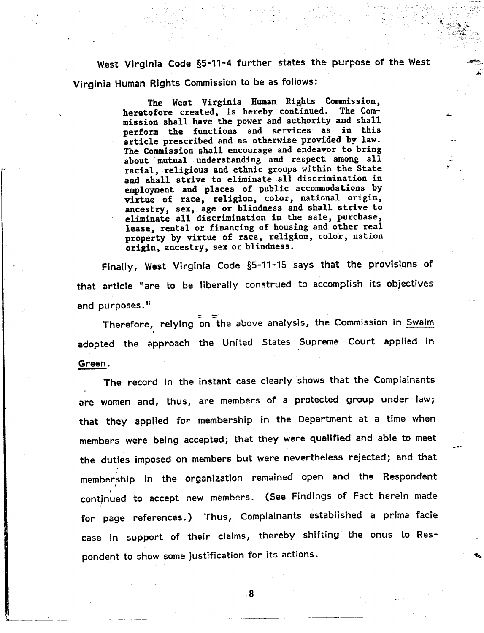West Virginia Code §5-11-4 further states the purpose of the West Virginia Human Rights Commission to be as follows:

> The West Virginia Human Rights Commission,<br>cofore created, is hereby continued. The Comheretofore created, is hereby continued. mission shall have the power and authority and shall perform the functions and services as in this article prescribed and as otherwise'provided by law. The Commission shall encourage and endeavor to bring about mutual understanding and respect among all racial, religious and ethnic groups within the State and shall strive to eliminate all discrimination in employment and places of public accommodations by virtue of race, religion, color, national origin, ancestry, sex, age or blindness and shall strive to eliminate all discrimination in the sale, purchase, lease, rental or financing of housing and other real property by virtue of race, religion, color, nation origin. ancestry, sex or blindness.

Finally, West Virginia Code §5-11-15 says that the provisions of that article "are to be liberally construed to accomplish its objectives and purposes."

Therefore, relying on the above analysis, the Commission in <u>Swaim</u> adopted the approach the United States Supreme Court applied in Green.

The record in the instant case clearly shows that the Complainants are women and, thus, are members of a protected group under law; that they applied for membership in the Department at a time when members were being accepted; that they were qualified and able to meet the duties imposed on members but were nevertheless rejected; and that membership in the organization remained open and the Responde ...<br>continued to accept new members. (See Findings of Fact herein mad for page references.) Thus, Complainants established a prima facie case in support of their claims, thereby shifting the onus to Respondent to show some justification for its actions.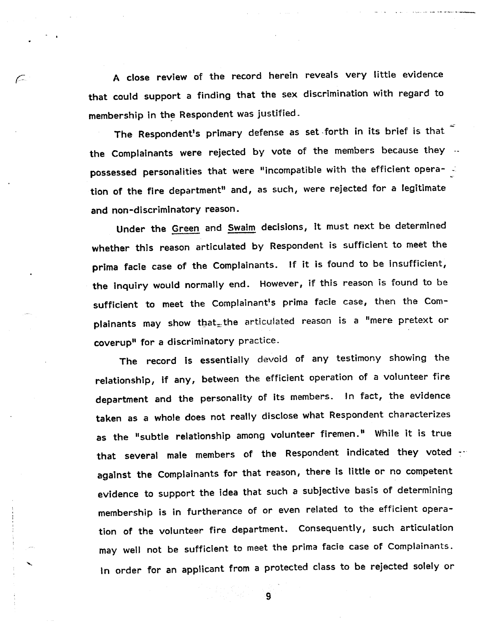A close review of the record herein reveals very little evidence that could support a finding that the sex discrimination with regard to membership in the Respondent was justified.

 $\subset$ 

The Respondent's primary defense as set forth in its brief is that the Complainants were rejected by vote of the members because they ... possessed personalities that were "incompatible with the efficient operation of the fire department" and, as such, were rejected for a legitimate and non-discriminatory reason.

Under the Green and Swaim decisions, it must next be determined whether this reason articulated by Respondent is sufficient to meet the prima facie case of the Complainants. If it is found to be insufficient, the Inquiry would normally end. However, if this reason is found to be sufficient to meet the Complainant's prima facie case, then the Complainants may show that the articulated reason is a "mere pretext or coverup<sup>1</sup> for a discriminatory practice.

The record is essentially devoid of any testimony showing the relationship, if any, between the efficient operation of a volunteer fire department and the personality of its members. In fact, the evidence taken as a whole does not really disclose what Respondent characterizes as the "subtle relationship among volunteer firemen." While it is true that several male members of the Respondent indicated they voted  $\cdots$ against the Complainants for that reason, there is little or no competent evidence to support the idea that such a subjective basis of determining membership is in furtherance of or even related to the efficient operation of the volunteer fire department. Consequently, such articulation may well not be sufficient to meet the prima facie case of Complainants. In order for an applicant from a protected class to be rejected solely or

 $\overline{9}$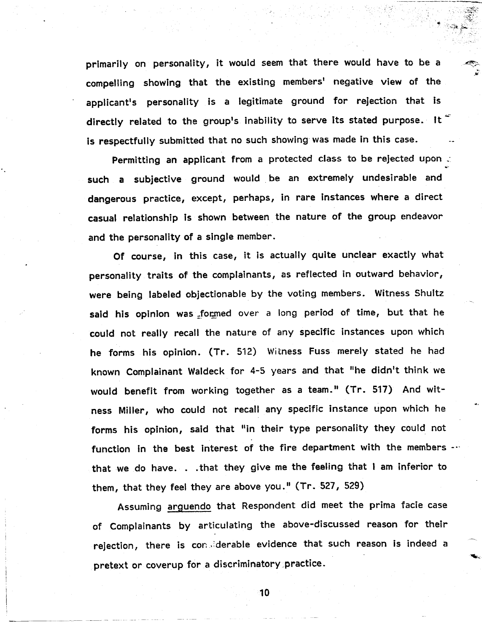primarily on personality, it would seem that there would have to be a compelling showing that the existing members' negative view of the applicant's personality is a legitimate ground for rejection that is directly related to the group's inability to serve its stated purpose. It is respectfully submitted that no such showing was made in this case.

Permitting an applicant from a protected class to be rejected upon such a subjective ground would be an extremely undesirable and dangerous practice, except, perhaps, in rare instances where a direct casual relationship is shown between the nature of the group endeavor and the personality of a single member.

Of course, in this case, it is actually quite unclear exactly what personality traits of the complainants, as reflected in outward behavior, were being labeled objectionable by the voting members. Witness Shultz said his opinion was formed over a long period of time, but that he could not really recall the nature of any specific instances upon which he forms his opinion. (Tr. 512) Witness Fuss merely stated he had known Complainant Waldeck for 4-5 years and that "he didn't think we would benefit from working together as a team." (Tr. 517) And witness Miller, who could not recall any specific instance upon which he forms his opinion, said that "in their type personality they could not function in the best interest of the fire department with the members  $\cdots$ that we do have. . .that they give me the feeling that I am inferior to them, that they feel they are above you." (Tr. 527, 529)

Assuming arguendo that Respondent did meet the prima facie case of Complainants by articulating the above-discussed reason for their rejection, there is considerable evidence that such reason is indeed a pretext or coverup for a discriminatory practice.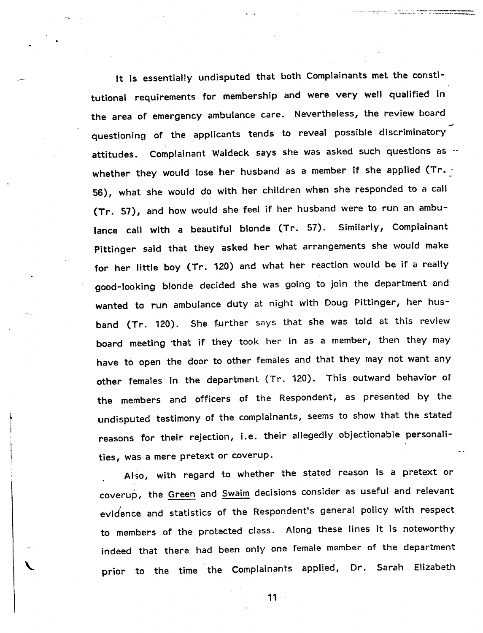It Is essentially undisputed that both Complainants met the constitutional requirements for membership and were very well qualified in the area of emergency ambulance care. Nevertheless, the review board questioning of the applicants tends to reveal possible discriminatory attitudes. Complainant Waldeck says she was asked such questions as  $\cdot\cdot$ whether they would lose her husband as a member if she applied (Tr. -56), what she would do with her children when she responded to a call (Tr. 57), and how would she feel if her husband were to run an ambulance call with a beautiful blonde (Tr. 57). Similarly, Complainant Pittinger said that they asked her what arrangements she would make for her little boy (Tr. 120) and what her reaction would be if a realty good-looking blonde decided she was going to join the department and wanted to run ambulance duty at night with Doug Pittinger, her husband (Tr. 120). She further says that she was told at this review board meeting 'that if they took her in as a member, then they may have to open the door to other females and that they may not want any other females in the department (Tr. 120). This outward behavior of the members and officers of the Respondent, as presented by the undisputed testimony of the complainants, seems to show that the stated reasons for their rejection, i.e. their allegedly objectionable personalities, was a mere pretext or coverup.

n ing til selver i den **senskallse over et er er er statt statte**r for.<br>Fødste er er er er er er er er er er er er alle statteret steller.

Also, with regard to whether the stated reason 1s a pretext or coverup, the Green and Swaim decisions consider as useful and relevant evidence and statistics of the Respondent's general policy with respect to members of the protected class. Along these lines it is noteworthy indeed that there had been only one female member of the departmentprior to the time the Complainants applied, Dr. Sarah Elizabeth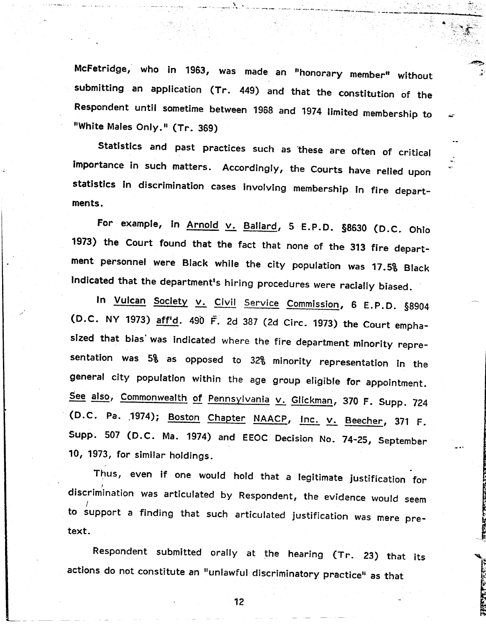McFetridge, who in 1963, was made an t'honorary member" without submitting an application (Tr. 449) and that the constitution of the Respondent until sometime between 1968 and 1974 limited membership to "White Males Only." (Tr. 369)

Statistics and past practices such as 'these are often of critical importance in such matters. Accordingly, the Courts have relied upon statistics in discrimination cases involving membership in fire departments.

For example, in Arnold v. Ballard, 5 E.P.D. §8630 (D.C. Ohio 1973) the Court found that the fact that none of the 313 fire department personnel were Black while the city population was 17.5% Black Indicated that the department's hiring procedures were racially biased.

In Vulcan Society v. Civil Service Commission, 6 E.P.D. §8904 (D.C. NY 1973) aff'd. 490 F. 2d 387 (2d eirc. 1973) the Court emphasized that bias' was indicated where the fire department minority representation was 5% as opposed to 32% minority representation in the general city population within the age group eligible for appointment. See also, Commonwealth of Pennsylvania v. Glickman, 370 F. Supp. 724 (D.C. Pa. 1974); Boston Chapter NAACP, Inc. v. Beecher, 371 F. Supp. 507 (D.C. Ma. 1974) and EEOC Decision No. 74-25, September 10, 1973, for similar holdings.

Thus, even if one would hold that a legitimate justification for scrimination was articulated by Respondent, the evidence would / to support a finding that such articulated justification was mere pretext.

Respondent submitted orally at the hearing (Tr. 23) that its actions do not constitute an "unlawful discriminatory practice" as that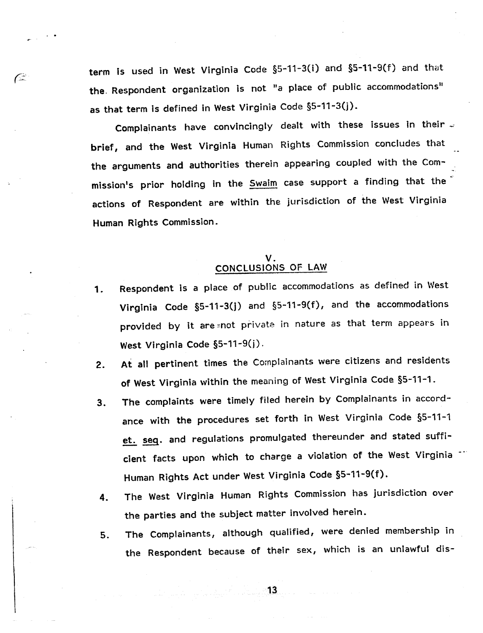term is used in West Virginia Code §5-11-3(i) and §5-11-9(f) and that the. Respondent organization is not "a place of public accommodations" as that term is defined in West Virginia Code §5-11-3(j).

C

Complainants have convincingly dealt with these issues in their  $\sim$ brief, and the West Virginia Human Rights Commission concludes that the arguments and authorities therein appearing coupled with the Commission's prior holding in the **Swaim** case support a finding that the actions of Respondent are within the jurisdiction of the West Virginia Human Rights Commission.

### V. CONCLUSIONS OF LAW

- 1. Respondent is a place of public accommodations as defined in West Virginia Code §5-11-3(j) and §5-11-9(f), and the accommodations provided by it are =not private in nature as that term appears in West Virginia Code §5-11-9(j).
- 2. At all pertinent times the Complainants were citizens and residents of West Virginia within the meaning of West Virginia Code §5-11-1.
- 3. The complaints were timely filed herein by Complainants in accordance with the procedures set forth in West Virginia Code §5-11-1 et. seg. and regulations promulgated thereunder and stated sufficient facts upon which to charge a violation of the West Virginia Human Rights Act under West Virginia Code §5-11-9(f).
- 4. The West Virginia Human Rights Commission has jurisdiction over the parties and the subject matter involved herein.
- S. The Complainants, although qualified, were denied membership in the Respondent because of their sex, which is an unlawful dis-

 $\overline{13}$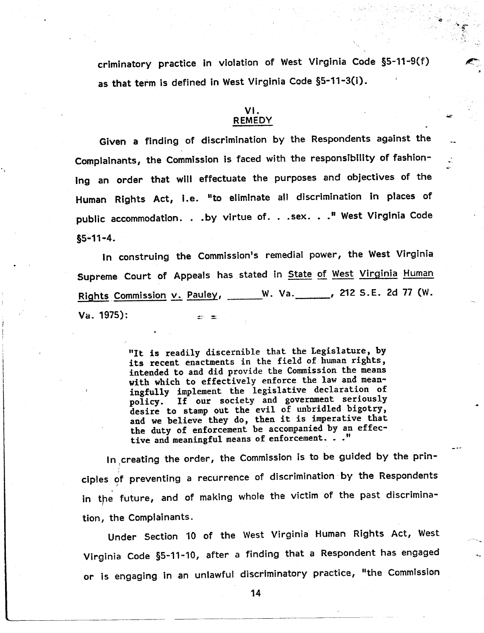criminatory practice in violation of West Virginia Code §5-11-9(f) as that term is defined in West Virginia Code §5-11-3(i).

### VI. REMEDY

Given a finding of discrimination by the Respondents against the Complainants, the Commission is faced with the responsibility of fashioning an order that will effectuate the purposes and objectives of the Human Rights Act, i.e. "to eliminate all discrimination in places of public accommodation. . .by virtue of. . .sex. . . " West Virginia Code  $$5 - 11 - 4.$ 

In construing the Commission's remedial power, the West Virginia Supreme Court of Appeals has stated in State of West Virginia Human Rights Commission v. Pauley, W. Va. 212 S.E. 2d 77 (W.  $Va. 1975$ : an an

> "It is readily discernible that the Legislature, by its recent enactments in the field of human rights, intended to and did provide the Commission the means with which to effectively enforce the law and meaningfully implement the legislative declaration of policy. If our society and government seriously desire to stamp out the evil of unbridled bigotry, and we believe they do, then it is imperative that the duty of enforcement be accompanied by an effective and meaningful means of enforcement. . ."

In ,creating the order, the Commission is to be guided by the principles of preventing a recurrence of discrimination by the Responder in the future, and of making whole the victim of the past discrimin tion, the Complainants.

Under Section 10 of the West Virginia Human Rights Act, West Virginia Code §S-11-10, after a finding that a Respondent has engaged or is engaging in an unlawful discriminatory practice, "the Commission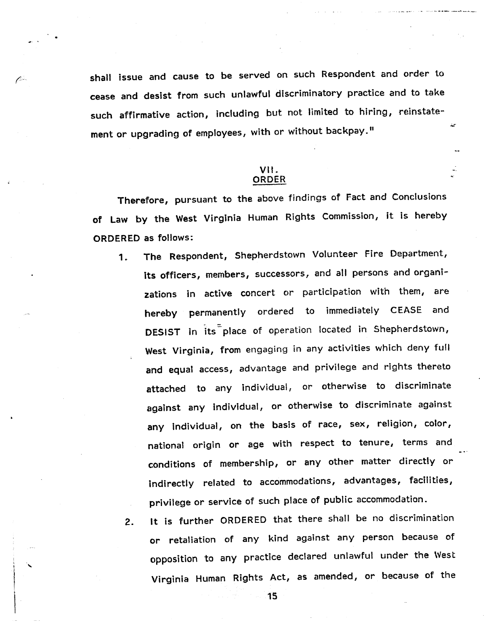shall issue and cause to be served on such Respondent and order to cease and desist from such unlawful discriminatory practice and to take such affirmative action, including but not limited to hiring, reinstatement or upgrading of employees, with or without backpay."

 $\mathcal{L}$ 

### VII. ORDER

Therefore, pursuant to the above findings of Fact and Conclusions of Law by the West Virginia Human Rights Commission, it is hereby ORDERED as follows:

- 1. The Respondent, Shepherdstown Volunteer Fire Department, its officers, members, successors, and all persons and organizations in active concert or participation with them, are hereby permanently ordered to immediately CEASE and DESIST in its place of operation located in Shepherdstown, West Virginia, from engaging in any activities which deny full and equal access, advantage and privilege and rights thereto attached to any individual, or otherwise to discriminate against any individual, or otherwise to discriminate against any individual, on the basis of race, sex, religion, color, national origin or age with respect to tenure, terms and conditions of membership, or any other matter directly or indirectly related to accommodations, advantages, facilities, privilege or service of such place of public accommodation.
	- 2. It is further ORDERED that there shall be no discrimination or retaliation of any kind against any person because of opposition to any practice declared unlawful under the West Virginia Human Rights Act, as amended, or because of the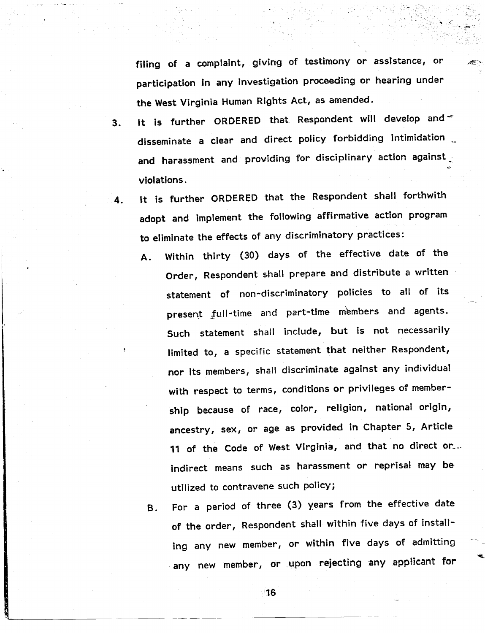filing of a complaint, giving of testimony or assistance, or participation in any investigation proceeding or hearing under the West Virginia Human Rights Act, as amended.

- It is further ORDERED that Respondent will develop and  $\equiv$  $3<sub>1</sub>$ disseminate a clear and direct policy forbidding intimIdation and harassment and providing for disciplinary action against violations.
- It is further ORDERED that the Respondent shall forthwith  $\mathbf{4}$ . adopt and implement the following affirmative action program to eliminate the effects of any discriminatory practices:
	- A. Within thirty (30) days of the effective date of the Order, Respondent shall prepare and distribute a written statement of non-discriminatory policies to all of its present full-time and part-time members and agents. Such statement shall include, but is not necessarily limited to, a specific statement that neither Respondent, nor its members, shall discriminate against any individual with respect to terms, conditions or privileges of membership because of race, color, religion, national origin, ancestry, sex, or age as provided in Chapter 5, Article 11 of the Code of West Virginia, and that no direct or\_.. indirect means such as harassment or reprisal may be utilized to contravene such policy;
	- B. For a period of three (3) years from the effective date of the order, Respondent shall within five days of installing any new member, or within five days of admitting any new member, or upon rejecting any applicant for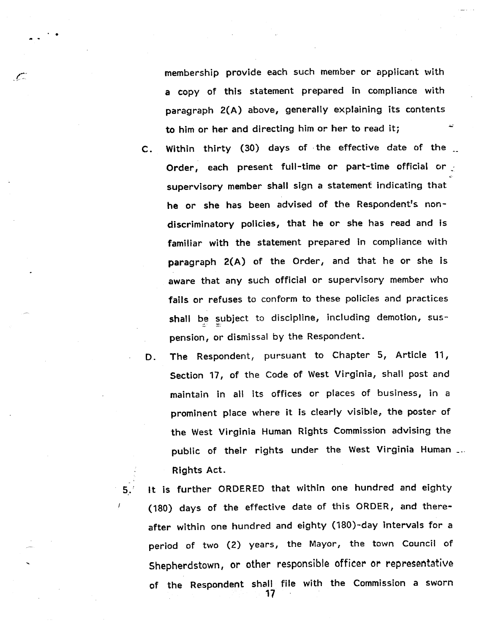membership provide each such member or applicant with a copy of this statement prepared in compliance with paragraph 2(A) above, generally explaining its contents to him or her and directing him or her to read it;

C. Within thirty (30) days of the effective date of the Order, each present full-time or part-time official or supervisory member shall sign a statement indicating that he or she has been advised of the Respondent's nondiscriminatory policies, that he or she has read and is familiar with the statement prepared in compliance with paragraph 2(A) of the Order, and that he or she is aware that any such official or supervisory member who fails or refuses to conform to these policies and practices shall be subject to discipline, including demotion, suspension, or dismissal by the Respondent.

D. The Respondent, pursuant to Chapter 5, Article 11, Section 17, of the Code of West Virginia, shall post and maintain in all its offices or places of business, in a prominent place where it Is clearly visible, the poster of the West Virginia Human Rights Commission advising the public of their rights under the West Virginia Human Rights Act.

5,.' It is further ORDERED that within one hundred and eighty (180) days of the effective date of this ORDER, and thereafter within one hundred and eighty (180)-day intervals for a period of two (2) years, the Mayor, the town Council of Shepherdstown, or other responsible officer or representative of the Respondent shall file with the Commission a sworn 17